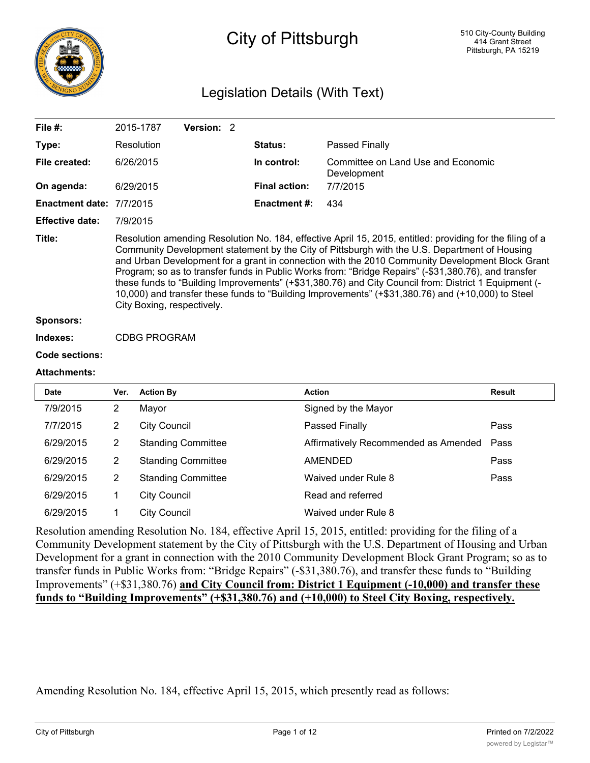

# City of Pittsburgh

# Legislation Details (With Text)

| File $#$ :               |                | 2015-1787                  | Version: 2                |  |                      |                                                                                                                                                                                                                                                                                                                                                                                                                                                                                                                                                                                                                                    |               |
|--------------------------|----------------|----------------------------|---------------------------|--|----------------------|------------------------------------------------------------------------------------------------------------------------------------------------------------------------------------------------------------------------------------------------------------------------------------------------------------------------------------------------------------------------------------------------------------------------------------------------------------------------------------------------------------------------------------------------------------------------------------------------------------------------------------|---------------|
| Type:                    |                | Resolution                 |                           |  | Status:              | Passed Finally                                                                                                                                                                                                                                                                                                                                                                                                                                                                                                                                                                                                                     |               |
| File created:            |                | 6/26/2015                  |                           |  | In control:          | Committee on Land Use and Economic<br>Development                                                                                                                                                                                                                                                                                                                                                                                                                                                                                                                                                                                  |               |
| On agenda:               |                | 6/29/2015                  |                           |  | <b>Final action:</b> | 7/7/2015                                                                                                                                                                                                                                                                                                                                                                                                                                                                                                                                                                                                                           |               |
| Enactment date: 7/7/2015 |                |                            |                           |  | Enactment #:         | 434                                                                                                                                                                                                                                                                                                                                                                                                                                                                                                                                                                                                                                |               |
| <b>Effective date:</b>   | 7/9/2015       |                            |                           |  |                      |                                                                                                                                                                                                                                                                                                                                                                                                                                                                                                                                                                                                                                    |               |
| Title:                   |                | City Boxing, respectively. |                           |  |                      | Resolution amending Resolution No. 184, effective April 15, 2015, entitled: providing for the filing of a<br>Community Development statement by the City of Pittsburgh with the U.S. Department of Housing<br>and Urban Development for a grant in connection with the 2010 Community Development Block Grant<br>Program; so as to transfer funds in Public Works from: "Bridge Repairs" (-\$31,380.76), and transfer<br>these funds to "Building Improvements" (+\$31,380.76) and City Council from: District 1 Equipment (-<br>10,000) and transfer these funds to "Building Improvements" (+\$31,380.76) and (+10,000) to Steel |               |
| <b>Sponsors:</b>         |                |                            |                           |  |                      |                                                                                                                                                                                                                                                                                                                                                                                                                                                                                                                                                                                                                                    |               |
| Indexes:                 |                | <b>CDBG PROGRAM</b>        |                           |  |                      |                                                                                                                                                                                                                                                                                                                                                                                                                                                                                                                                                                                                                                    |               |
| <b>Code sections:</b>    |                |                            |                           |  |                      |                                                                                                                                                                                                                                                                                                                                                                                                                                                                                                                                                                                                                                    |               |
| <b>Attachments:</b>      |                |                            |                           |  |                      |                                                                                                                                                                                                                                                                                                                                                                                                                                                                                                                                                                                                                                    |               |
| <b>Date</b>              | Ver.           | <b>Action By</b>           |                           |  |                      | <b>Action</b>                                                                                                                                                                                                                                                                                                                                                                                                                                                                                                                                                                                                                      | <b>Result</b> |
| 7/9/2015                 | 2              | Mayor                      |                           |  |                      | Signed by the Mayor                                                                                                                                                                                                                                                                                                                                                                                                                                                                                                                                                                                                                |               |
| 7/7/2015                 | $\overline{2}$ | <b>City Council</b>        |                           |  |                      | Passed Finally                                                                                                                                                                                                                                                                                                                                                                                                                                                                                                                                                                                                                     | Pass          |
| 6/29/2015                | $\overline{2}$ |                            | <b>Standing Committee</b> |  |                      | Affirmatively Recommended as Amended                                                                                                                                                                                                                                                                                                                                                                                                                                                                                                                                                                                               | Pass          |
| 6/29/2015                | $\overline{2}$ |                            | <b>Standing Committee</b> |  |                      | <b>AMENDED</b>                                                                                                                                                                                                                                                                                                                                                                                                                                                                                                                                                                                                                     | Pass          |
| 6/29/2015                | $\overline{2}$ |                            | <b>Standing Committee</b> |  |                      | Waived under Rule 8                                                                                                                                                                                                                                                                                                                                                                                                                                                                                                                                                                                                                | Pass          |
| 6/29/2015                | 1              | <b>City Council</b>        |                           |  |                      | Read and referred                                                                                                                                                                                                                                                                                                                                                                                                                                                                                                                                                                                                                  |               |

Resolution amending Resolution No. 184, effective April 15, 2015, entitled: providing for the filing of a Community Development statement by the City of Pittsburgh with the U.S. Department of Housing and Urban Development for a grant in connection with the 2010 Community Development Block Grant Program; so as to transfer funds in Public Works from: "Bridge Repairs" (-\$31,380.76), and transfer these funds to "Building Improvements" (+\$31,380.76) **and City Council from: District 1 Equipment (-10,000) and transfer these funds to "Building Improvements" (+\$31,380.76) and (+10,000) to Steel City Boxing, respectively.**

Amending Resolution No. 184, effective April 15, 2015, which presently read as follows:

6/29/2015 1 City Council Waived under Rule 8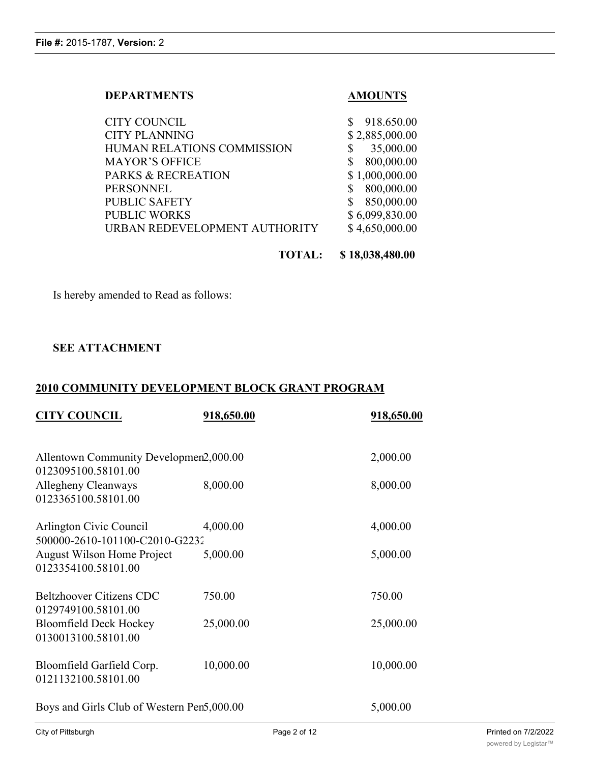# **DEPARTMENTS AMOUNTS**

| <b>CITY COUNCIL</b>           | \$918.650.00   |
|-------------------------------|----------------|
| <b>CITY PLANNING</b>          | \$2,885,000.00 |
| HUMAN RELATIONS COMMISSION    | 35,000.00      |
| <b>MAYOR'S OFFICE</b>         | 800,000.00     |
| PARKS & RECREATION            | \$1,000,000.00 |
| PERSONNEL                     | 800,000.00     |
| <b>PUBLIC SAFETY</b>          | 850,000.00     |
| <b>PUBLIC WORKS</b>           | \$6,099,830.00 |
| URBAN REDEVELOPMENT AUTHORITY | \$4,650,000.00 |
|                               |                |

**TOTAL: \$ 18,038,480.00**

Is hereby amended to Read as follows:

# **SEE ATTACHMENT**

# **2010 COMMUNITY DEVELOPMENT BLOCK GRANT PROGRAM**

| <b>CITY COUNCIL</b>                                           | 918,650.00 | 918,650.00 |
|---------------------------------------------------------------|------------|------------|
| Allentown Community Developmen2,000.00<br>0123095100.58101.00 |            | 2,000.00   |
| Allegheny Cleanways<br>0123365100.58101.00                    | 8,000.00   | 8,000.00   |
| Arlington Civic Council<br>500000-2610-101100-C2010-G2232     | 4,000.00   | 4,000.00   |
| <b>August Wilson Home Project</b><br>0123354100.58101.00      | 5,000.00   | 5,000.00   |
| <b>Beltzhoover Citizens CDC</b><br>0129749100.58101.00        | 750.00     | 750.00     |
| <b>Bloomfield Deck Hockey</b><br>0130013100.58101.00          | 25,000.00  | 25,000.00  |
| Bloomfield Garfield Corp.<br>0121132100.58101.00              | 10,000.00  | 10,000.00  |
| Boys and Girls Club of Western Pen5,000.00                    |            | 5,000.00   |

500000-2610-101100-C2010-G229868-2010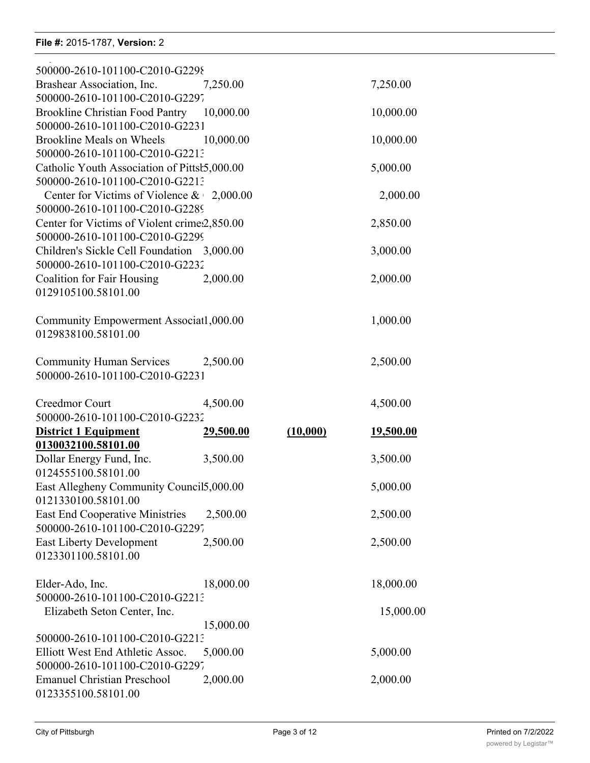# **File #:** 2015-1787, **Version:** 2

0121132100.58101.00

| 500000-2610-101100-C2010-G2298                                                |           |          |           |
|-------------------------------------------------------------------------------|-----------|----------|-----------|
| Brashear Association, Inc.                                                    | 7,250.00  |          | 7,250.00  |
| 500000-2610-101100-C2010-G2297                                                |           |          |           |
| Brookline Christian Food Pantry 10,000.00<br>500000-2610-101100-C2010-G2231   |           |          | 10,000.00 |
| <b>Brookline Meals on Wheels</b>                                              | 10,000.00 |          | 10,000.00 |
| 500000-2610-101100-C2010-G2213                                                |           |          |           |
| Catholic Youth Association of Pittst5,000.00                                  |           |          | 5,000.00  |
| 500000-2610-101100-C2010-G2213                                                |           |          |           |
| Center for Victims of Violence $\&$ 2,000.00                                  |           |          | 2,000.00  |
| 500000-2610-101100-C2010-G2289                                                |           |          |           |
| Center for Victims of Violent crime2,850.00<br>500000-2610-101100-C2010-G2299 |           |          | 2,850.00  |
| Children's Sickle Cell Foundation 3,000.00                                    |           |          | 3,000.00  |
| 500000-2610-101100-C2010-G2232                                                |           |          |           |
| <b>Coalition for Fair Housing</b>                                             | 2,000.00  |          | 2,000.00  |
| 0129105100.58101.00                                                           |           |          |           |
| Community Empowerment Associat1,000.00                                        |           |          | 1,000.00  |
| 0129838100.58101.00                                                           |           |          |           |
|                                                                               |           |          |           |
| Community Human Services 2,500.00                                             |           |          | 2,500.00  |
| 500000-2610-101100-C2010-G2231                                                |           |          |           |
| Creedmor Court                                                                | 4,500.00  |          | 4,500.00  |
| 500000-2610-101100-C2010-G2232                                                |           |          |           |
| <b>District 1 Equipment</b>                                                   | 29,500.00 | (10,000) | 19,500.00 |
| 0130032100.58101.00                                                           |           |          |           |
| Dollar Energy Fund, Inc.<br>0124555100.58101.00                               | 3,500.00  |          | 3,500.00  |
| East Allegheny Community Council5,000.00                                      |           |          | 5,000.00  |
| 0121330100.58101.00                                                           |           |          |           |
| <b>East End Cooperative Ministries</b>                                        | 2,500.00  |          | 2,500.00  |
| 500000-2610-101100-C2010-G2297                                                |           |          |           |
| <b>East Liberty Development</b>                                               | 2,500.00  |          | 2,500.00  |
| 0123301100.58101.00                                                           |           |          |           |
| Elder-Ado, Inc.                                                               | 18,000.00 |          | 18,000.00 |
| 500000-2610-101100-C2010-G2213                                                |           |          |           |
| Elizabeth Seton Center, Inc.                                                  |           |          | 15,000.00 |
|                                                                               | 15,000.00 |          |           |
| 500000-2610-101100-C2010-G2213<br>Elliott West End Athletic Assoc.            | 5,000.00  |          | 5,000.00  |
| 500000-2610-101100-C2010-G2297                                                |           |          |           |
| <b>Emanuel Christian Preschool</b>                                            | 2,000.00  |          | 2,000.00  |
| 0123355100.58101.00                                                           |           |          |           |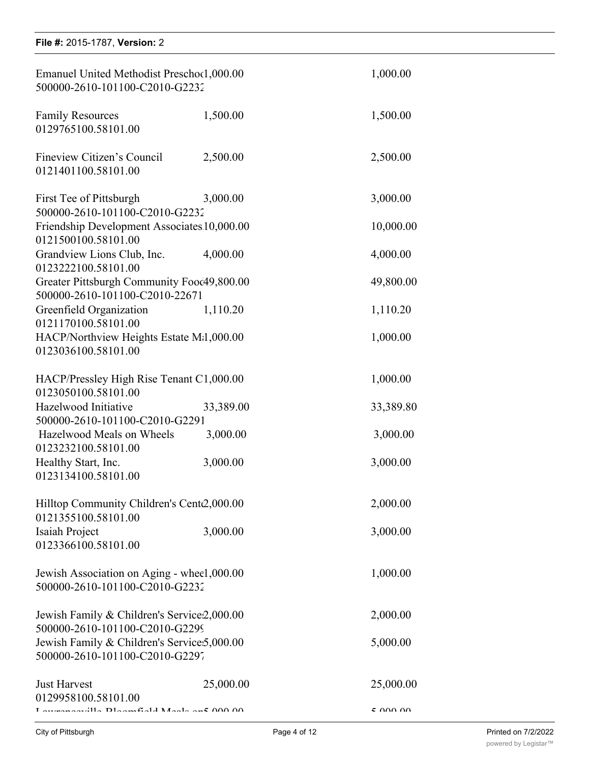| File #: 2015-1787, Version: 2 |  |  |
|-------------------------------|--|--|

| Emanuel United Methodist Preschool,000.00<br>500000-2610-101100-C2010-G2232    |           | 1,000.00  |
|--------------------------------------------------------------------------------|-----------|-----------|
| <b>Family Resources</b><br>0129765100.58101.00                                 | 1,500.00  | 1,500.00  |
| Fineview Citizen's Council<br>0121401100.58101.00                              | 2,500.00  | 2,500.00  |
| First Tee of Pittsburgh<br>500000-2610-101100-C2010-G2232                      | 3,000.00  | 3,000.00  |
| Friendship Development Associates 10,000.00<br>0121500100.58101.00             |           | 10,000.00 |
| Grandview Lions Club, Inc.<br>0123222100.58101.00                              | 4,000.00  | 4,000.00  |
| Greater Pittsburgh Community Fooc49,800.00<br>500000-2610-101100-C2010-22671   |           | 49,800.00 |
| Greenfield Organization<br>0121170100.58101.00                                 | 1,110.20  | 1,110.20  |
| HACP/Northview Heights Estate M:1,000.00<br>0123036100.58101.00                |           | 1,000.00  |
| HACP/Pressley High Rise Tenant C1,000.00<br>0123050100.58101.00                |           | 1,000.00  |
| Hazelwood Initiative<br>500000-2610-101100-C2010-G2291                         | 33,389.00 | 33,389.80 |
| Hazelwood Meals on Wheels<br>0123232100.58101.00                               | 3,000.00  | 3,000.00  |
| Healthy Start, Inc.<br>0123134100.58101.00                                     | 3,000.00  | 3,000.00  |
| Hilltop Community Children's Centc2,000.00<br>0121355100.58101.00              |           | 2,000.00  |
| Isaiah Project<br>0123366100.58101.00                                          | 3,000.00  | 3,000.00  |
| Jewish Association on Aging - wheel,000.00<br>500000-2610-101100-C2010-G2232   |           | 1,000.00  |
| Jewish Family & Children's Service 2,000.00<br>500000-2610-101100-C2010-G2299  |           | 2,000.00  |
| Jewish Family & Children's Service: 5,000.00<br>500000-2610-101100-C2010-G2297 |           | 5,000.00  |
| <b>Just Harvest</b><br>0129958100.58101.00                                     | 25,000.00 | 25,000.00 |
| $m_{\text{max}}$ and $11.71$ and $2.111$ $M_{\text{rad}}$ and $0.001$          |           | 5.00000   |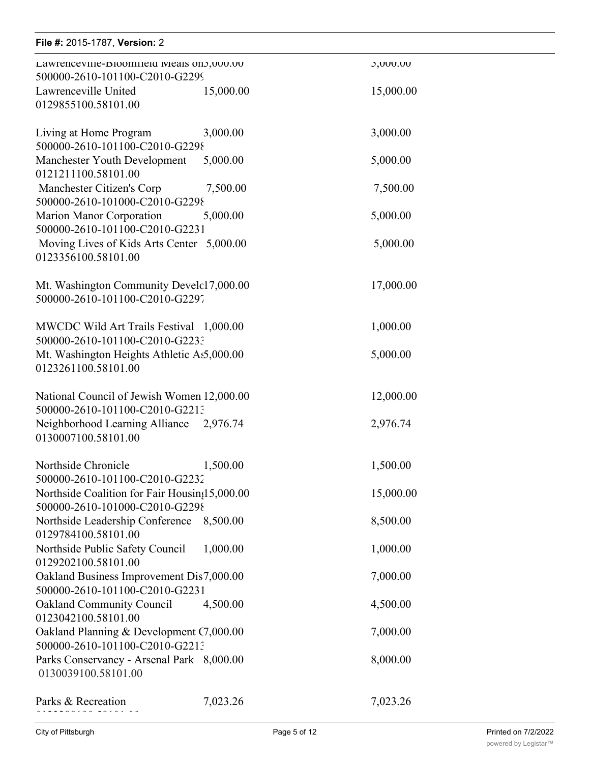| File #: 2015-1787, Version: 2                                                   |           |                 |  |
|---------------------------------------------------------------------------------|-----------|-----------------|--|
| Lawrencevine-Bloomneid Meals on >, UUU.UU<br>500000-2610-101100-C2010-G2299     |           | <b>J,UUU.UU</b> |  |
| Lawrenceville United<br>0129855100.58101.00                                     | 15,000.00 | 15,000.00       |  |
| Living at Home Program<br>500000-2610-101100-C2010-G2298                        | 3,000.00  | 3,000.00        |  |
| Manchester Youth Development<br>0121211100.58101.00                             | 5,000.00  | 5,000.00        |  |
| Manchester Citizen's Corp<br>500000-2610-101000-C2010-G2298                     | 7,500.00  | 7,500.00        |  |
| Marion Manor Corporation<br>500000-2610-101100-C2010-G2231                      | 5,000.00  | 5,000.00        |  |
| Moving Lives of Kids Arts Center 5,000.00<br>0123356100.58101.00                |           | 5,000.00        |  |
| Mt. Washington Community Develc17,000.00<br>500000-2610-101100-C2010-G2297      |           | 17,000.00       |  |
| MWCDC Wild Art Trails Festival 1,000.00<br>500000-2610-101100-C2010-G2233       |           | 1,000.00        |  |
| Mt. Washington Heights Athletic As5,000.00<br>0123261100.58101.00               |           | 5,000.00        |  |
| National Council of Jewish Women 12,000.00<br>500000-2610-101100-C2010-G2213    |           | 12,000.00       |  |
| Neighborhood Learning Alliance 2,976.74<br>0130007100.58101.00                  |           | 2,976.74        |  |
| Northside Chronicle<br>500000-2610-101100-C2010-G2232                           | 1,500.00  | 1,500.00        |  |
| Northside Coalition for Fair Housin;15,000.00<br>500000-2610-101000-C2010-G2298 |           | 15,000.00       |  |
| Northside Leadership Conference 8,500.00<br>0129784100.58101.00                 |           | 8,500.00        |  |
| Northside Public Safety Council<br>0129202100.58101.00                          | 1,000.00  | 1,000.00        |  |
| Oakland Business Improvement Dis7,000.00<br>500000-2610-101100-C2010-G2231      |           | 7,000.00        |  |
| <b>Oakland Community Council</b><br>0123042100.58101.00                         | 4,500.00  | 4,500.00        |  |
| Oakland Planning & Development C7,000.00<br>500000-2610-101100-C2010-G2213      |           | 7,000.00        |  |
| Parks Conservancy - Arsenal Park 8,000.00<br>0130039100.58101.00                |           | 8,000.00        |  |
| Parks & Recreation                                                              | 7,023.26  | 7,023.26        |  |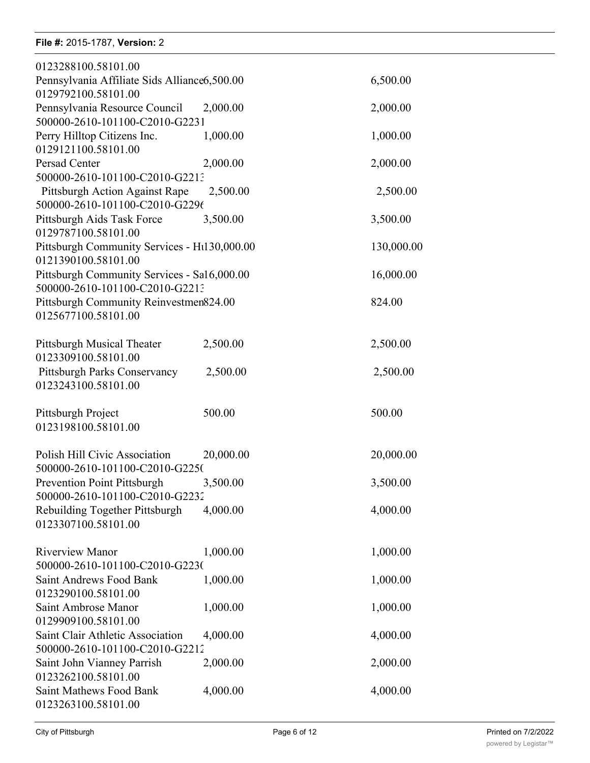#### **File #:** 2015-1787, **Version:** 2 Parks & Recreation 7, 233.26 7, 233.26 7, 233.26 7, 233.26 7, 233.26 7, 233.26 7, 233.26 7, 233.26 7, 233.26 7

| 0123288100.58101.00                                              |           |            |
|------------------------------------------------------------------|-----------|------------|
| Pennsylvania Affiliate Sids Alliance6,500.00                     |           | 6,500.00   |
| 0129792100.58101.00                                              |           |            |
| Pennsylvania Resource Council                                    | 2,000.00  | 2,000.00   |
| 500000-2610-101100-C2010-G2231                                   |           |            |
| Perry Hilltop Citizens Inc.                                      | 1,000.00  | 1,000.00   |
| 0129121100.58101.00                                              |           |            |
| Persad Center                                                    | 2,000.00  | 2,000.00   |
| 500000-2610-101100-C2010-G2213                                   |           |            |
| Pittsburgh Action Against Rape<br>500000-2610-101100-C2010-G2296 | 2,500.00  | 2,500.00   |
| Pittsburgh Aids Task Force                                       | 3,500.00  | 3,500.00   |
| 0129787100.58101.00                                              |           |            |
| Pittsburgh Community Services - H1130,000.00                     |           | 130,000.00 |
| 0121390100.58101.00                                              |           |            |
| Pittsburgh Community Services - Sa16,000.00                      |           | 16,000.00  |
| 500000-2610-101100-C2010-G2213                                   |           |            |
| Pittsburgh Community Reinvestmen824.00                           |           | 824.00     |
| 0125677100.58101.00                                              |           |            |
|                                                                  |           |            |
| Pittsburgh Musical Theater                                       | 2,500.00  | 2,500.00   |
| 0123309100.58101.00                                              |           |            |
| Pittsburgh Parks Conservancy<br>0123243100.58101.00              | 2,500.00  | 2,500.00   |
|                                                                  |           |            |
| Pittsburgh Project                                               | 500.00    | 500.00     |
| 0123198100.58101.00                                              |           |            |
|                                                                  |           |            |
| Polish Hill Civic Association                                    | 20,000.00 | 20,000.00  |
| 500000-2610-101100-C2010-G2250                                   |           |            |
| Prevention Point Pittsburgh                                      | 3,500.00  | 3,500.00   |
| 500000-2610-101100-C2010-G2232                                   |           |            |
| Rebuilding Together Pittsburgh                                   | 4,000.00  | 4,000.00   |
| 0123307100.58101.00                                              |           |            |
| <b>Riverview Manor</b>                                           |           |            |
| 500000-2610-101100-C2010-G223(                                   | 1,000.00  | 1,000.00   |
| <b>Saint Andrews Food Bank</b>                                   | 1,000.00  | 1,000.00   |
| 0123290100.58101.00                                              |           |            |
| Saint Ambrose Manor                                              | 1,000.00  | 1,000.00   |
| 0129909100.58101.00                                              |           |            |
| Saint Clair Athletic Association                                 | 4,000.00  | 4,000.00   |
| 500000-2610-101100-C2010-G2212                                   |           |            |
| Saint John Vianney Parrish                                       | 2,000.00  | 2,000.00   |
| 0123262100.58101.00                                              |           |            |
| <b>Saint Mathews Food Bank</b>                                   | 4,000.00  | 4,000.00   |
| 0123263100.58101.00                                              |           |            |

Saint Michael's Food Bank 4,000.00 4,000.00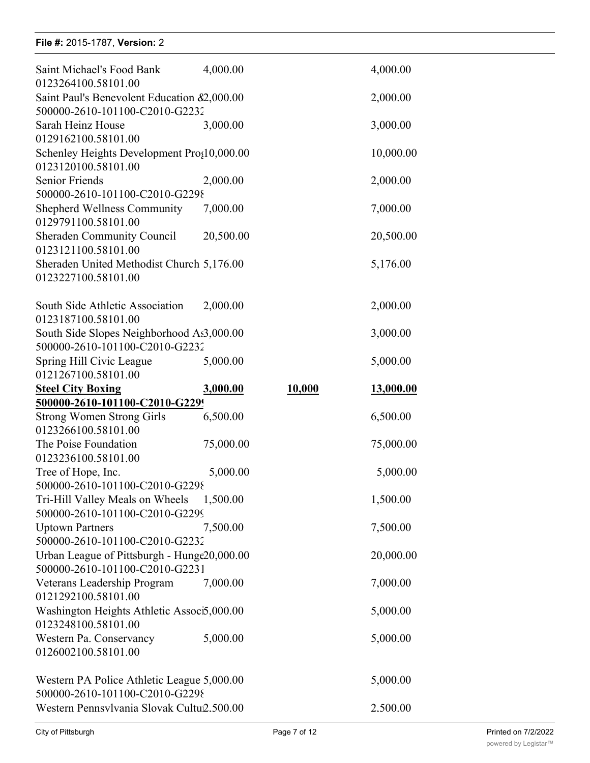#### **File #:** 2015-1787, **Version:** 2

0123262100.58101.00

| Saint Michael's Food Bank                                          | 4,000.00  |        | 4,000.00  |
|--------------------------------------------------------------------|-----------|--------|-----------|
| 0123264100.58101.00<br>Saint Paul's Benevolent Education &2,000.00 |           |        | 2,000.00  |
| 500000-2610-101100-C2010-G2232                                     |           |        |           |
| Sarah Heinz House                                                  | 3,000.00  |        | 3,000.00  |
| 0129162100.58101.00                                                |           |        |           |
| Schenley Heights Development Pro (10,000.00                        |           |        | 10,000.00 |
| 0123120100.58101.00                                                |           |        |           |
| Senior Friends                                                     | 2,000.00  |        | 2,000.00  |
| 500000-2610-101100-C2010-G2298                                     |           |        |           |
| <b>Shepherd Wellness Community</b>                                 | 7,000.00  |        | 7,000.00  |
| 0129791100.58101.00                                                |           |        |           |
| <b>Sheraden Community Council</b>                                  | 20,500.00 |        | 20,500.00 |
| 0123121100.58101.00                                                |           |        |           |
| Sheraden United Methodist Church 5,176.00                          |           |        | 5,176.00  |
| 0123227100.58101.00                                                |           |        |           |
| South Side Athletic Association                                    | 2,000.00  |        | 2,000.00  |
| 0123187100.58101.00                                                |           |        |           |
| South Side Slopes Neighborhood As3,000.00                          |           |        | 3,000.00  |
| 500000-2610-101100-C2010-G2232                                     |           |        |           |
| Spring Hill Civic League                                           | 5,000.00  |        | 5,000.00  |
| 0121267100.58101.00                                                |           |        |           |
| <b>Steel City Boxing</b>                                           | 3,000.00  | 10,000 | 13,000.00 |
| 500000-2610-101100-C2010-G2299                                     |           |        |           |
| <b>Strong Women Strong Girls</b>                                   | 6,500.00  |        | 6,500.00  |
| 0123266100.58101.00                                                |           |        |           |
| The Poise Foundation                                               | 75,000.00 |        | 75,000.00 |
| 0123236100.58101.00                                                |           |        |           |
| Tree of Hope, Inc.                                                 | 5,000.00  |        | 5,000.00  |
| 500000-2610-101100-C2010-G2298                                     |           |        |           |
| Tri-Hill Valley Meals on Wheels                                    | 1,500.00  |        | 1,500.00  |
| 500000-2610-101100-C2010-G2299                                     |           |        |           |
| <b>Uptown Partners</b>                                             | 7,500.00  |        | 7,500.00  |
| 500000-2610-101100-C2010-G2232                                     |           |        |           |
| Urban League of Pittsburgh - Hunge20,000.00                        |           |        | 20,000.00 |
| 500000-2610-101100-C2010-G2231                                     |           |        |           |
| Veterans Leadership Program                                        | 7,000.00  |        | 7,000.00  |
| 0121292100.58101.00                                                |           |        |           |
| Washington Heights Athletic Associ5,000.00                         |           |        | 5,000.00  |
| 0123248100.58101.00                                                |           |        |           |
| Western Pa. Conservancy                                            | 5,000.00  |        | 5,000.00  |
| 0126002100.58101.00                                                |           |        |           |
| Western PA Police Athletic League 5,000.00                         |           |        | 5,000.00  |
| 500000-2610-101100-C2010-G2298                                     |           |        |           |
| Western Pennsvlvania Slovak Cultu2.500.00                          |           |        | 2.500.00  |
|                                                                    |           |        |           |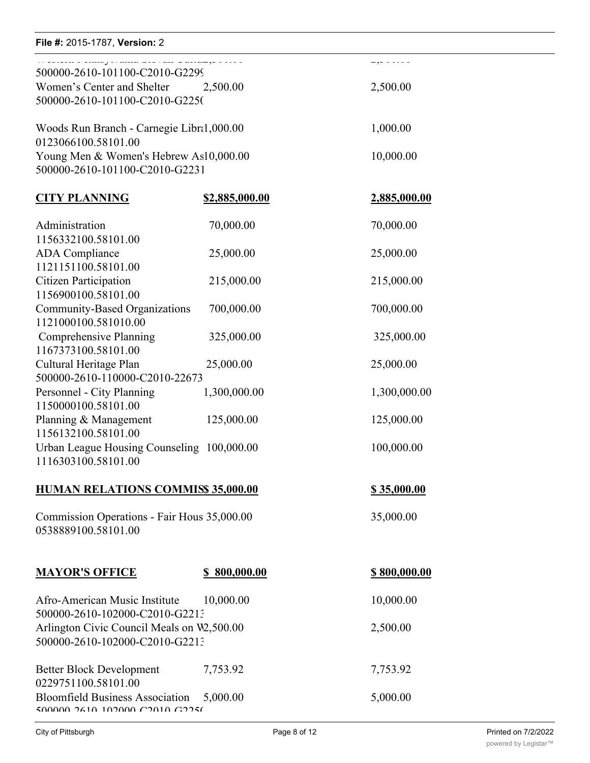# **File #:** 2015-1787, Version: 2 Western Participation Participation and the Control of the Control of the Control of the Control of the Control of

| . Sussex a salary permitted with the scheme guide of<br>500000-2610-101100-C2010-G2299 |                       | $-$ , $ \circ$ $ \circ$ $\circ$ $\circ$ |
|----------------------------------------------------------------------------------------|-----------------------|-----------------------------------------|
| Women's Center and Shelter 2,500.00<br>500000-2610-101100-C2010-G2250                  |                       | 2,500.00                                |
| Woods Run Branch - Carnegie Libra1,000.00<br>0123066100.58101.00                       |                       | 1,000.00                                |
| Young Men & Women's Hebrew As10,000.00<br>500000-2610-101100-C2010-G2231               |                       | 10,000.00                               |
| <b>CITY PLANNING</b>                                                                   | <u>\$2,885,000.00</u> | <u>2,885,000.00</u>                     |
| Administration<br>1156332100.58101.00                                                  | 70,000.00             | 70,000.00                               |
| <b>ADA</b> Compliance<br>1121151100.58101.00                                           | 25,000.00             | 25,000.00                               |
| <b>Citizen Participation</b><br>1156900100.58101.00                                    | 215,000.00            | 215,000.00                              |
| Community-Based Organizations<br>1121000100.581010.00                                  | 700,000.00            | 700,000.00                              |
| Comprehensive Planning<br>1167373100.58101.00                                          | 325,000.00            | 325,000.00                              |
| Cultural Heritage Plan<br>500000-2610-110000-C2010-22673                               | 25,000.00             | 25,000.00                               |
| Personnel - City Planning<br>1150000100.58101.00                                       | 1,300,000.00          | 1,300,000.00                            |
| Planning & Management<br>1156132100.58101.00                                           | 125,000.00            | 125,000.00                              |
| Urban League Housing Counseling 100,000.00<br>1116303100.58101.00                      |                       | 100,000.00                              |
| HUMAN RELATIONS COMMISS 35,000.00                                                      |                       | <u>\$35,000.00</u>                      |
| Commission Operations - Fair Hous 35,000.00<br>0538889100.58101.00                     |                       | 35,000.00                               |
| <b>MAYOR'S OFFICE</b>                                                                  | \$800,000.00          | <u>\$800,000.00</u>                     |
| Afro-American Music Institute<br>500000-2610-102000-C2010-G2213                        | 10,000.00             | 10,000.00                               |
| Arlington Civic Council Meals on W2,500.00<br>500000-2610-102000-C2010-G2213           |                       | 2,500.00                                |
| <b>Better Block Development</b><br>0229751100.58101.00                                 | 7,753.92              | 7,753.92                                |
| <b>Bloomfield Business Association</b><br>MANAN JAIN 10JAN MJAIN MJJKI                 | 5,000.00              | 5,000.00                                |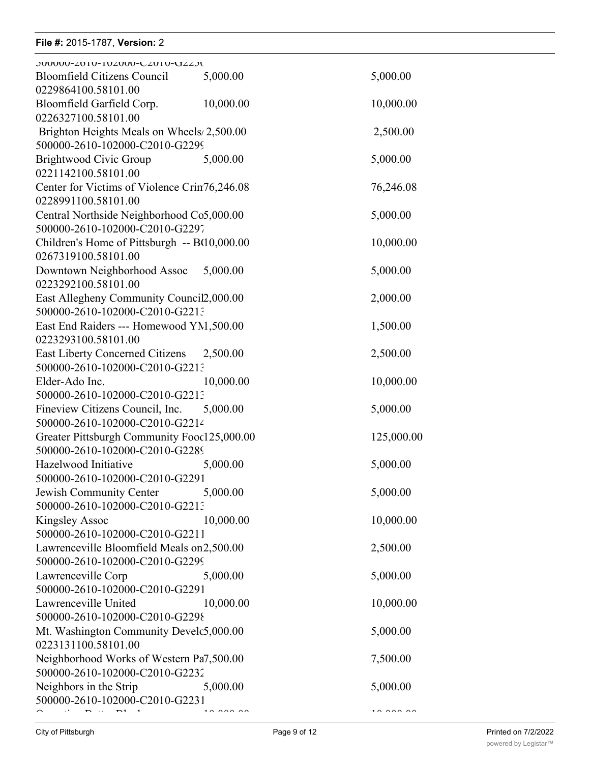# **File #:** 2015-1787, Version: 2 Bloomfield Business Association 5,000.00 5,000.00

| <b>JUUUUU-ZUIU-IUZUUU-CZUIU-UZZJU</b><br>Bloomfield Citizens Council        | 5,000.00                 | 5,000.00   |
|-----------------------------------------------------------------------------|--------------------------|------------|
| 0229864100.58101.00<br>Bloomfield Garfield Corp.                            | 10,000.00                | 10,000.00  |
| 0226327100.58101.00                                                         |                          |            |
| Brighton Heights Meals on Wheels/2,500.00                                   |                          | 2,500.00   |
| 500000-2610-102000-C2010-G2299                                              |                          |            |
| Brightwood Civic Group<br>0221142100.58101.00                               | 5,000.00                 | 5,000.00   |
| Center for Victims of Violence Crin76,246.08                                |                          | 76,246.08  |
| 0228991100.58101.00                                                         |                          |            |
| Central Northside Neighborhood Co5,000.00                                   |                          | 5,000.00   |
| 500000-2610-102000-C2010-G2297                                              |                          |            |
| Children's Home of Pittsburgh -- B(10,000.00                                |                          | 10,000.00  |
| 0267319100.58101.00                                                         |                          |            |
| Downtown Neighborhood Assoc<br>0223292100.58101.00                          | 5,000.00                 | 5,000.00   |
| East Allegheny Community Council2,000.00                                    |                          | 2,000.00   |
| 500000-2610-102000-C2010-G2213                                              |                          |            |
| East End Raiders --- Homewood YM, 500.00                                    |                          | 1,500.00   |
| 0223293100.58101.00                                                         |                          |            |
| <b>East Liberty Concerned Citizens</b>                                      | 2,500.00                 | 2,500.00   |
| 500000-2610-102000-C2010-G2213                                              |                          |            |
| Elder-Ado Inc.                                                              | 10,000.00                | 10,000.00  |
| 500000-2610-102000-C2010-G2213                                              |                          |            |
| Fineview Citizens Council, Inc.<br>500000-2610-102000-C2010-G2214           | 5,000.00                 | 5,000.00   |
| Greater Pittsburgh Community Fooc125,000.00                                 |                          | 125,000.00 |
| 500000-2610-102000-C2010-G2289                                              |                          |            |
| Hazelwood Initiative                                                        | 5,000.00                 | 5,000.00   |
| 500000-2610-102000-C2010-G2291                                              |                          |            |
| Jewish Community Center                                                     | 5,000.00                 | 5,000.00   |
| 500000-2610-102000-C2010-G2213                                              |                          |            |
| <b>Kingsley Assoc</b>                                                       | 10,000.00                | 10,000.00  |
| 500000-2610-102000-C2010-G2211                                              |                          |            |
| Lawrenceville Bloomfield Meals on2,500.00<br>500000-2610-102000-C2010-G2299 |                          | 2,500.00   |
| Lawrenceville Corp                                                          | 5,000.00                 | 5,000.00   |
| 500000-2610-102000-C2010-G2291                                              |                          |            |
| Lawrenceville United                                                        | 10,000.00                | 10,000.00  |
| 500000-2610-102000-C2010-G2298                                              |                          |            |
| Mt. Washington Community Develc5,000.00                                     |                          | 5,000.00   |
| 0223131100.58101.00                                                         |                          |            |
| Neighborhood Works of Western Pa7,500.00                                    |                          | 7,500.00   |
| 500000-2610-102000-C2010-G2232<br>Neighbors in the Strip                    | 5,000.00                 | 5,000.00   |
| 500000-2610-102000-C2010-G2231                                              |                          |            |
| $\mathbf{r}$ , $\mathbf{r}$ , $\mathbf{r}$ , $\mathbf{r}$ , $\mathbf{r}$    | $\overline{\phantom{a}}$ | $\cdots$   |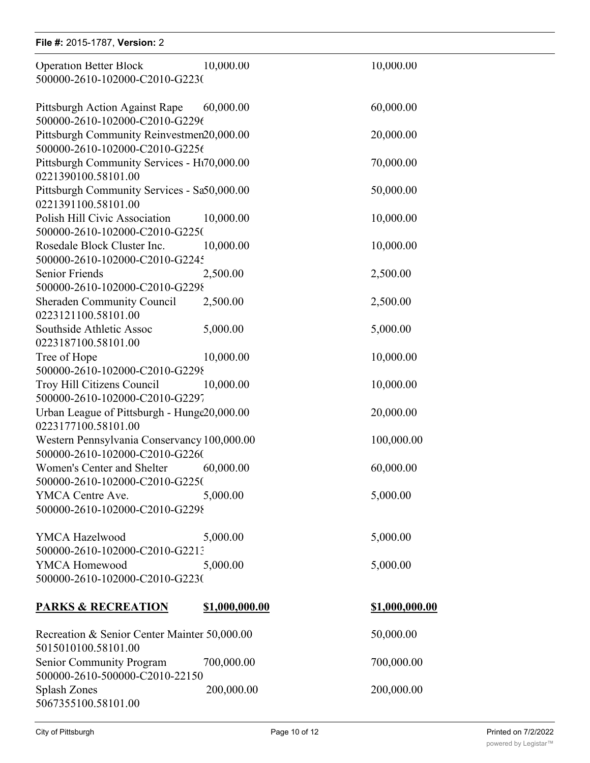| File #: 2015-1787, Version: 2                                                 |                |                       |  |
|-------------------------------------------------------------------------------|----------------|-----------------------|--|
| <b>Operation Better Block</b><br>500000-2610-102000-C2010-G2230               | 10,000.00      | 10,000.00             |  |
| Pittsburgh Action Against Rape<br>500000-2610-102000-C2010-G2296              | 60,000.00      | 60,000.00             |  |
| Pittsburgh Community Reinvestmen20,000.00<br>500000-2610-102000-C2010-G2256   |                | 20,000.00             |  |
| Pittsburgh Community Services - Ht70,000.00<br>0221390100.58101.00            |                | 70,000.00             |  |
| Pittsburgh Community Services - Sa50,000.00<br>0221391100.58101.00            |                | 50,000.00             |  |
| Polish Hill Civic Association<br>500000-2610-102000-C2010-G2250               | 10,000.00      | 10,000.00             |  |
| Rosedale Block Cluster Inc.<br>500000-2610-102000-C2010-G2245                 | 10,000.00      | 10,000.00             |  |
| Senior Friends<br>500000-2610-102000-C2010-G2298                              | 2,500.00       | 2,500.00              |  |
| <b>Sheraden Community Council</b><br>0223121100.58101.00                      | 2,500.00       | 2,500.00              |  |
| Southside Athletic Assoc<br>0223187100.58101.00                               | 5,000.00       | 5,000.00              |  |
| Tree of Hope<br>500000-2610-102000-C2010-G2298                                | 10,000.00      | 10,000.00             |  |
| Troy Hill Citizens Council<br>500000-2610-102000-C2010-G2297                  | 10,000.00      | 10,000.00             |  |
| Urban League of Pittsburgh - Hunge20,000.00<br>0223177100.58101.00            |                | 20,000.00             |  |
| Western Pennsylvania Conservancy 100,000.00<br>500000-2610-102000-C2010-G2260 |                | 100,000.00            |  |
| Women's Center and Shelter<br>500000-2610-102000-C2010-G2250                  | 60,000.00      | 60,000.00             |  |
| YMCA Centre Ave.<br>500000-2610-102000-C2010-G2298                            | 5,000.00       | 5,000.00              |  |
| YMCA Hazelwood                                                                | 5,000.00       | 5,000.00              |  |
| 500000-2610-102000-C2010-G2213<br>YMCA Homewood                               | 5,000.00       | 5,000.00              |  |
| 500000-2610-102000-C2010-G2230                                                |                |                       |  |
| <b>PARKS &amp; RECREATION</b>                                                 | \$1,000,000.00 | <u>\$1,000,000.00</u> |  |
| Recreation & Senior Center Mainter 50,000.00<br>5015010100.58101.00           |                | 50,000.00             |  |
| Senior Community Program<br>500000-2610-500000-C2010-22150                    | 700,000.00     | 700,000.00            |  |
| Splash Zones<br>5067355100.58101.00                                           | 200,000.00     | 200,000.00            |  |

Swimming Pool Maintenance 50,000.00 50,000.00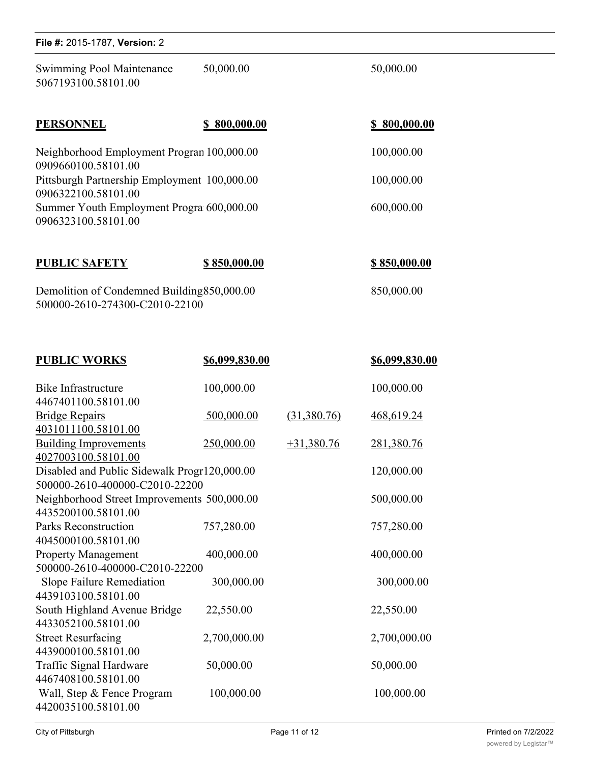| File #: 2015-1787, Version: 2                                                                                                                                                                                |                       |                     |  |
|--------------------------------------------------------------------------------------------------------------------------------------------------------------------------------------------------------------|-----------------------|---------------------|--|
| Swimming Pool Maintenance<br>5067193100.58101.00                                                                                                                                                             | 50,000.00             | 50,000.00           |  |
| <b>PERSONNEL</b>                                                                                                                                                                                             | \$800,000.00          | \$800,000.00        |  |
| Neighborhood Employment Progran 100,000.00<br>0909660100.58101.00<br>Pittsburgh Partnership Employment 100,000.00<br>0906322100.58101.00<br>Summer Youth Employment Progra 600,000.00<br>0906323100.58101.00 |                       | 100,000.00          |  |
|                                                                                                                                                                                                              |                       | 100,000.00          |  |
|                                                                                                                                                                                                              |                       | 600,000.00          |  |
| <b>PUBLIC SAFETY</b>                                                                                                                                                                                         | \$850,000.00          | <u>\$850,000.00</u> |  |
| Demolition of Condemned Building 850,000.00<br>500000-2610-274300-C2010-22100                                                                                                                                |                       | 850,000.00          |  |
| <b>PUBLIC WORKS</b>                                                                                                                                                                                          | <u>\$6,099,830.00</u> | \$6,099,830.00      |  |

| Bike Infrastructure                          | 100,000.00   |              | 100,000.00   |  |  |
|----------------------------------------------|--------------|--------------|--------------|--|--|
| 4467401100.58101.00                          |              |              |              |  |  |
| <b>Bridge Repairs</b>                        | 500,000.00   | (31,380.76)  | 468,619.24   |  |  |
| 4031011100.58101.00                          |              |              |              |  |  |
| <b>Building Improvements</b>                 | 250,000.00   | $+31,380.76$ | 281,380.76   |  |  |
| 4027003100.58101.00                          |              |              |              |  |  |
| Disabled and Public Sidewalk Progr120,000.00 |              |              | 120,000.00   |  |  |
| 500000-2610-400000-C2010-22200               |              |              |              |  |  |
| Neighborhood Street Improvements 500,000.00  |              |              | 500,000.00   |  |  |
| 4435200100.58101.00                          |              |              |              |  |  |
| <b>Parks Reconstruction</b>                  | 757,280.00   |              | 757,280.00   |  |  |
| 4045000100.58101.00                          |              |              |              |  |  |
| <b>Property Management</b>                   | 400,000.00   |              | 400,000.00   |  |  |
| 500000-2610-400000-C2010-22200               |              |              |              |  |  |
| Slope Failure Remediation                    | 300,000.00   |              | 300,000.00   |  |  |
| 4439103100.58101.00                          |              |              |              |  |  |
| South Highland Avenue Bridge                 | 22,550.00    |              | 22,550.00    |  |  |
| 4433052100.58101.00                          |              |              |              |  |  |
| <b>Street Resurfacing</b>                    | 2,700,000.00 |              | 2,700,000.00 |  |  |
| 4439000100.58101.00                          |              |              |              |  |  |
| Traffic Signal Hardware                      | 50,000.00    |              | 50,000.00    |  |  |
| 4467408100.58101.00                          |              |              |              |  |  |
| Wall, Step & Fence Program                   | 100,000.00   |              | 100,000.00   |  |  |
| 4420035100.58101.00                          |              |              |              |  |  |